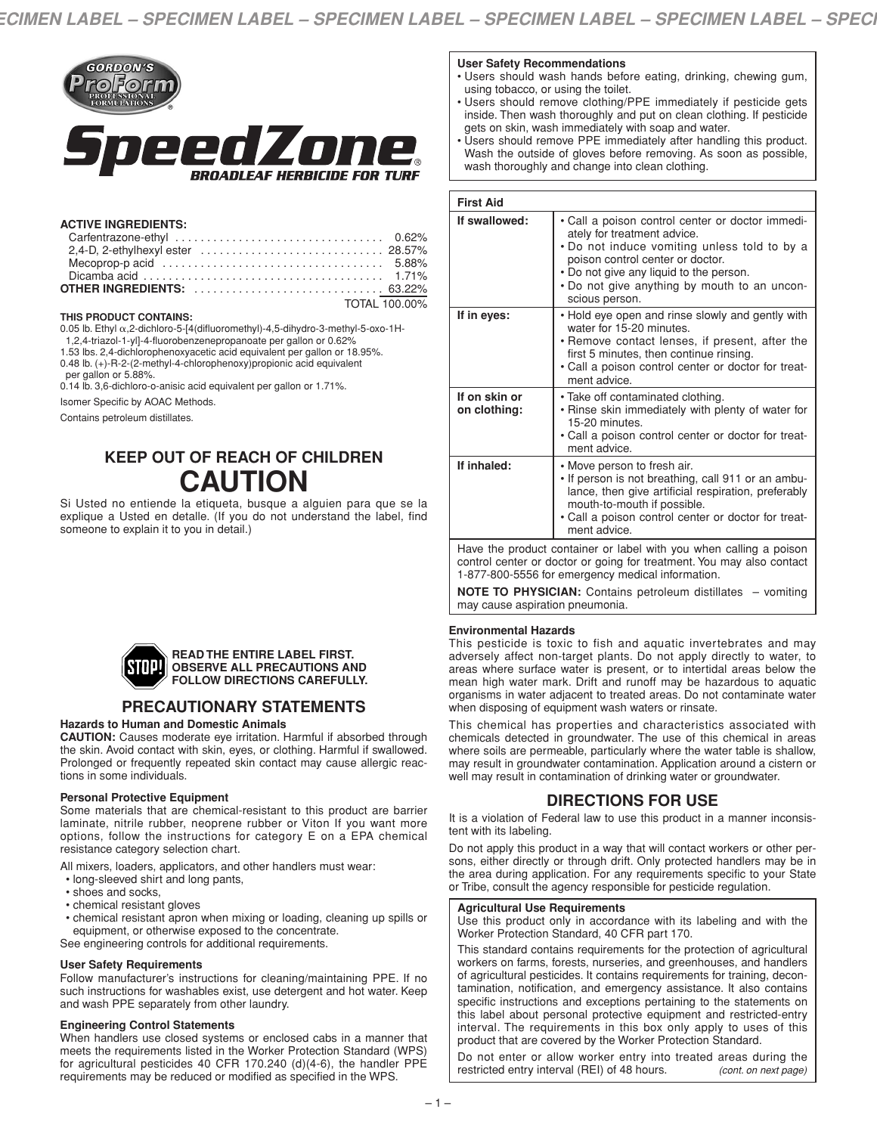

#### **ACTIVE INGREDIENTS:**

| Dicamba acid $\ldots \ldots \ldots \ldots \ldots \ldots \ldots \ldots \ldots \ldots \ldots \ldots \ldots$ 1.71% |  |
|-----------------------------------------------------------------------------------------------------------------|--|
|                                                                                                                 |  |
| TOTAL 100 00%                                                                                                   |  |

#### **THIS PRODUCT CONTAINS:**

0.05 lb. Ethyl α,2-dichloro-5-[4(difluoromethyl)-4,5-dihydro-3-methyl-5-oxo-1H-

1,2,4-triazol-1-yl]-4-fluorobenzenepropanoate per gallon or 0.62% 1.53 lbs. 2,4-dichlorophenoxyacetic acid equivalent per gallon or 18.95%.

0.48 lb. (+)-R-2-(2-methyl-4-chlorophenoxy)propionic acid equivalent

per gallon or 5.88%.

0.14 lb. 3,6-dichloro-o-anisic acid equivalent per gallon or 1.71%.

Isomer Specific by AOAC Methods.

Contains petroleum distillates.

# **KEEP OUT OF REACH OF CHILDREN CAUTION**

Si Usted no entiende la etiqueta, busque a alguien para que se la explique a Usted en detalle. (If you do not understand the label, find someone to explain it to you in detail.)



# **PRECAUTIONARY STATEMENTS**

## **Hazards to Human and Domestic Animals**

**CAUTION:** Causes moderate eye irritation. Harmful if absorbed through the skin. Avoid contact with skin, eyes, or clothing. Harmful if swallowed. Prolonged or frequently repeated skin contact may cause allergic reactions in some individuals.

#### **Personal Protective Equipment**

Some materials that are chemical-resistant to this product are barrier laminate, nitrile rubber, neoprene rubber or Viton If you want more options, follow the instructions for category E on a EPA chemical resistance category selection chart.

All mixers, loaders, applicators, and other handlers must wear:

- long-sleeved shirt and long pants,
- shoes and socks,
- chemical resistant gloves
- chemical resistant apron when mixing or loading, cleaning up spills or equipment, or otherwise exposed to the concentrate.

See engineering controls for additional requirements.

#### **User Safety Requirements**

Follow manufacturer's instructions for cleaning/maintaining PPE. If no such instructions for washables exist, use detergent and hot water. Keep and wash PPE separately from other laundry.

#### **Engineering Control Statements**

When handlers use closed systems or enclosed cabs in a manner that meets the requirements listed in the Worker Protection Standard (WPS) for agricultural pesticides 40 CFR 170.240 (d)(4-6), the handler PPE requirements may be reduced or modified as specified in the WPS.

#### **User Safety Recommendations**

- Users should wash hands before eating, drinking, chewing gum, using tobacco, or using the toilet.
- Users should remove clothing/PPE immediately if pesticide gets inside. Then wash thoroughly and put on clean clothing. If pesticide gets on skin, wash immediately with soap and water.
- Users should remove PPE immediately after handling this product. Wash the outside of gloves before removing. As soon as possible, wash thoroughly and change into clean clothing.

| <b>First Aid</b>                                                                                                                                                                                 |                                                                                                                                                                                                                                                                                  |  |  |
|--------------------------------------------------------------------------------------------------------------------------------------------------------------------------------------------------|----------------------------------------------------------------------------------------------------------------------------------------------------------------------------------------------------------------------------------------------------------------------------------|--|--|
| If swallowed:                                                                                                                                                                                    | • Call a poison control center or doctor immedi-<br>ately for treatment advice.<br>. Do not induce vomiting unless told to by a<br>poison control center or doctor.<br>. Do not give any liquid to the person.<br>. Do not give anything by mouth to an uncon-<br>scious person. |  |  |
| If in eyes:                                                                                                                                                                                      | • Hold eye open and rinse slowly and gently with<br>water for 15-20 minutes.<br>• Remove contact lenses, if present, after the<br>first 5 minutes, then continue rinsing.<br>• Call a poison control center or doctor for treat-<br>ment advice.                                 |  |  |
| If on skin or<br>on clothing:                                                                                                                                                                    | • Take off contaminated clothing.<br>• Rinse skin immediately with plenty of water for<br>15-20 minutes.<br>• Call a poison control center or doctor for treat-<br>ment advice.                                                                                                  |  |  |
| If inhaled:                                                                                                                                                                                      | • Move person to fresh air.<br>. If person is not breathing, call 911 or an ambu-<br>lance, then give artificial respiration, preferably<br>mouth-to-mouth if possible.<br>• Call a poison control center or doctor for treat-<br>ment advice.                                   |  |  |
| Have the product container or label with you when calling a poison<br>control center or doctor or going for treatment. You may also contact<br>1-877-800-5556 for emergency medical information. |                                                                                                                                                                                                                                                                                  |  |  |

**NOTE TO PHYSICIAN:** Contains petroleum distillates – vomiting may cause aspiration pneumonia.

#### **Environmental Hazards**

This pesticide is toxic to fish and aquatic invertebrates and may adversely affect non-target plants. Do not apply directly to water, to areas where surface water is present, or to intertidal areas below the mean high water mark. Drift and runoff may be hazardous to aquatic organisms in water adjacent to treated areas. Do not contaminate water when disposing of equipment wash waters or rinsate.

This chemical has properties and characteristics associated with chemicals detected in groundwater. The use of this chemical in areas where soils are permeable, particularly where the water table is shallow, may result in groundwater contamination. Application around a cistern or well may result in contamination of drinking water or groundwater.

## **DIRECTIONS FOR USE**

It is a violation of Federal law to use this product in a manner inconsistent with its labeling.

Do not apply this product in a way that will contact workers or other persons, either directly or through drift. Only protected handlers may be in the area during application. For any requirements specific to your State or Tribe, consult the agency responsible for pesticide regulation.

#### **Agricultural Use Requirements**

Use this product only in accordance with its labeling and with the Worker Protection Standard, 40 CFR part 170.

This standard contains requirements for the protection of agricultural workers on farms, forests, nurseries, and greenhouses, and handlers of agricultural pesticides. It contains requirements for training, decontamination, notification, and emergency assistance. It also contains specific instructions and exceptions pertaining to the statements on this label about personal protective equipment and restricted-entry interval. The requirements in this box only apply to uses of this product that are covered by the Worker Protection Standard.

Do not enter or allow worker entry into treated areas during the restricted entry interval (REI) of 48 hours. *(cont. on next page)*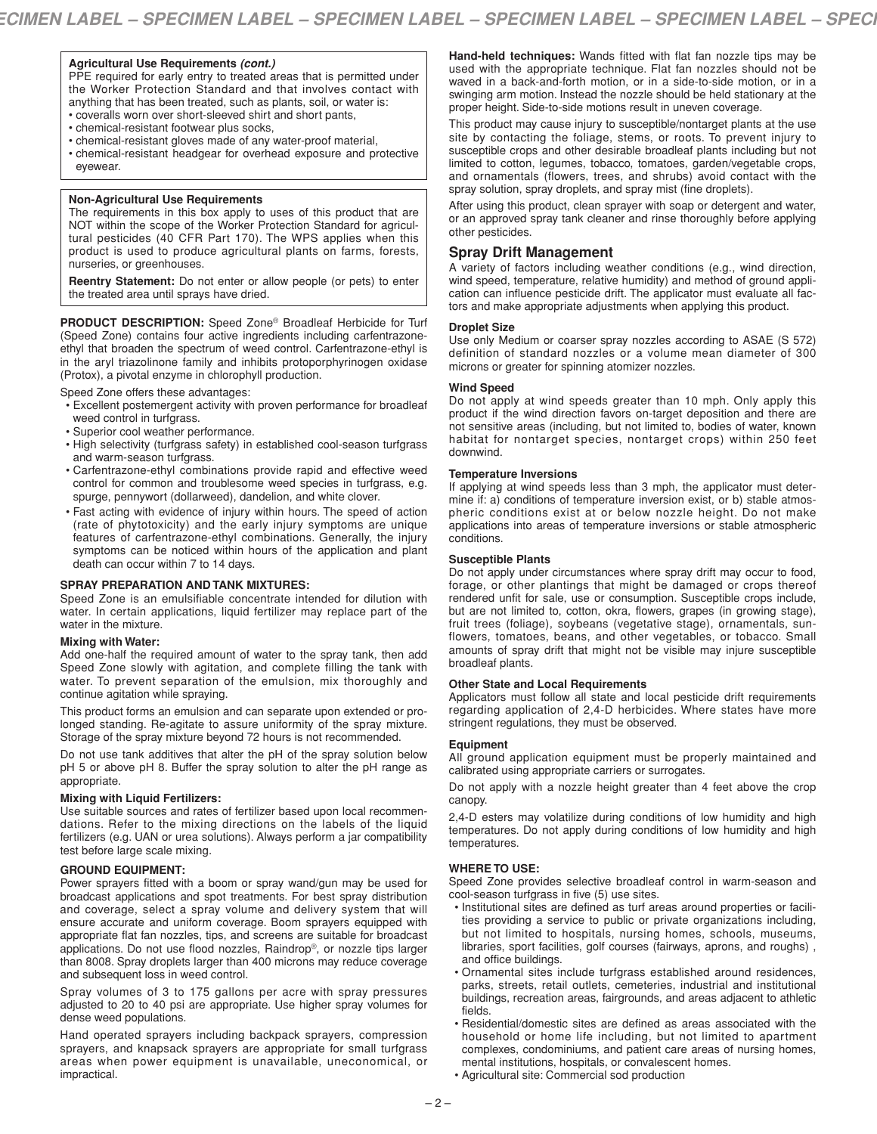#### **Agricultural Use Requirements** *(cont.)*

PPE required for early entry to treated areas that is permitted under the Worker Protection Standard and that involves contact with anything that has been treated, such as plants, soil, or water is: • coveralls worn over short-sleeved shirt and short pants,

- chemical-resistant footwear plus socks,
- chemical-resistant gloves made of any water-proof material,
- chemical-resistant headgear for overhead exposure and protective eyewear.

#### **Non-Agricultural Use Requirements**

The requirements in this box apply to uses of this product that are NOT within the scope of the Worker Protection Standard for agricultural pesticides (40 CFR Part 170). The WPS applies when this product is used to produce agricultural plants on farms, forests, nurseries, or greenhouses.

**Reentry Statement:** Do not enter or allow people (or pets) to enter the treated area until sprays have dried.

**PRODUCT DESCRIPTION:** Speed Zone® Broadleaf Herbicide for Turf (Speed Zone) contains four active ingredients including carfentrazoneethyl that broaden the spectrum of weed control. Carfentrazone-ethyl is in the aryl triazolinone family and inhibits protoporphyrinogen oxidase (Protox), a pivotal enzyme in chlorophyll production.

Speed Zone offers these advantages:

- Excellent postemergent activity with proven performance for broadleaf weed control in turfgrass.
- Superior cool weather performance.
- High selectivity (turfgrass safety) in established cool-season turfgrass and warm-season turfgrass.
- Carfentrazone-ethyl combinations provide rapid and effective weed control for common and troublesome weed species in turfgrass, e.g. spurge, pennywort (dollarweed), dandelion, and white clover.
- Fast acting with evidence of injury within hours. The speed of action (rate of phytotoxicity) and the early injury symptoms are unique features of carfentrazone-ethyl combinations. Generally, the injury symptoms can be noticed within hours of the application and plant death can occur within 7 to 14 days.

#### **SPRAY PREPARATION AND TANK MIXTURES:**

Speed Zone is an emulsifiable concentrate intended for dilution with water. In certain applications, liquid fertilizer may replace part of the water in the mixture.

#### **Mixing with Water:**

Add one-half the required amount of water to the spray tank, then add Speed Zone slowly with agitation, and complete filling the tank with water. To prevent separation of the emulsion, mix thoroughly and continue agitation while spraying.

This product forms an emulsion and can separate upon extended or prolonged standing. Re-agitate to assure uniformity of the spray mixture. Storage of the spray mixture beyond 72 hours is not recommended.

Do not use tank additives that alter the pH of the spray solution below pH 5 or above pH 8. Buffer the spray solution to alter the pH range as appropriate.

#### **Mixing with Liquid Fertilizers:**

Use suitable sources and rates of fertilizer based upon local recommendations. Refer to the mixing directions on the labels of the liquid fertilizers (e.g. UAN or urea solutions). Always perform a jar compatibility test before large scale mixing.

#### **GROUND EQUIPMENT:**

Power sprayers fitted with a boom or spray wand/gun may be used for broadcast applications and spot treatments. For best spray distribution and coverage, select a spray volume and delivery system that will ensure accurate and uniform coverage. Boom sprayers equipped with appropriate flat fan nozzles, tips, and screens are suitable for broadcast applications. Do not use flood nozzles, Raindrop®, or nozzle tips larger than 8008. Spray droplets larger than 400 microns may reduce coverage and subsequent loss in weed control.

Spray volumes of 3 to 175 gallons per acre with spray pressures adjusted to 20 to 40 psi are appropriate. Use higher spray volumes for dense weed populations.

Hand operated sprayers including backpack sprayers, compression sprayers, and knapsack sprayers are appropriate for small turfgrass areas when power equipment is unavailable, uneconomical, or impractical.

**Hand-held techniques:** Wands fitted with flat fan nozzle tips may be used with the appropriate technique. Flat fan nozzles should not be waved in a back-and-forth motion, or in a side-to-side motion, or in a swinging arm motion. Instead the nozzle should be held stationary at the proper height. Side-to-side motions result in uneven coverage.

This product may cause injury to susceptible/nontarget plants at the use site by contacting the foliage, stems, or roots. To prevent injury to susceptible crops and other desirable broadleaf plants including but not limited to cotton, legumes, tobacco, tomatoes, garden/vegetable crops, and ornamentals (flowers, trees, and shrubs) avoid contact with the spray solution, spray droplets, and spray mist (fine droplets).

After using this product, clean sprayer with soap or detergent and water, or an approved spray tank cleaner and rinse thoroughly before applying other pesticides.

## **Spray Drift Management**

A variety of factors including weather conditions (e.g., wind direction, wind speed, temperature, relative humidity) and method of ground application can influence pesticide drift. The applicator must evaluate all factors and make appropriate adjustments when applying this product.

#### **Droplet Size**

Use only Medium or coarser spray nozzles according to ASAE (S 572) definition of standard nozzles or a volume mean diameter of 300 microns or greater for spinning atomizer nozzles.

#### **Wind Speed**

Do not apply at wind speeds greater than 10 mph. Only apply this product if the wind direction favors on-target deposition and there are not sensitive areas (including, but not limited to, bodies of water, known habitat for nontarget species, nontarget crops) within 250 feet downwind.

#### **Temperature Inversions**

If applying at wind speeds less than 3 mph, the applicator must determine if: a) conditions of temperature inversion exist, or b) stable atmospheric conditions exist at or below nozzle height. Do not make applications into areas of temperature inversions or stable atmospheric conditions.

#### **Susceptible Plants**

Do not apply under circumstances where spray drift may occur to food, forage, or other plantings that might be damaged or crops thereof rendered unfit for sale, use or consumption. Susceptible crops include, but are not limited to, cotton, okra, flowers, grapes (in growing stage), fruit trees (foliage), soybeans (vegetative stage), ornamentals, sunflowers, tomatoes, beans, and other vegetables, or tobacco. Small amounts of spray drift that might not be visible may injure susceptible broadleaf plants.

#### **Other State and Local Requirements**

Applicators must follow all state and local pesticide drift requirements regarding application of 2,4-D herbicides. Where states have more stringent regulations, they must be observed.

#### **Equipment**

All ground application equipment must be properly maintained and calibrated using appropriate carriers or surrogates.

Do not apply with a nozzle height greater than 4 feet above the crop canopy.

2,4-D esters may volatilize during conditions of low humidity and high temperatures. Do not apply during conditions of low humidity and high temperatures.

#### **WHERE TO USE:**

Speed Zone provides selective broadleaf control in warm-season and cool-season turfgrass in five (5) use sites.

- Institutional sites are defined as turf areas around properties or facilities providing a service to public or private organizations including, but not limited to hospitals, nursing homes, schools, museums, libraries, sport facilities, golf courses (fairways, aprons, and roughs) , and office buildings.
- Ornamental sites include turfgrass established around residences, parks, streets, retail outlets, cemeteries, industrial and institutional buildings, recreation areas, fairgrounds, and areas adjacent to athletic fields.
- Residential/domestic sites are defined as areas associated with the household or home life including, but not limited to apartment complexes, condominiums, and patient care areas of nursing homes, mental institutions, hospitals, or convalescent homes.
- Agricultural site: Commercial sod production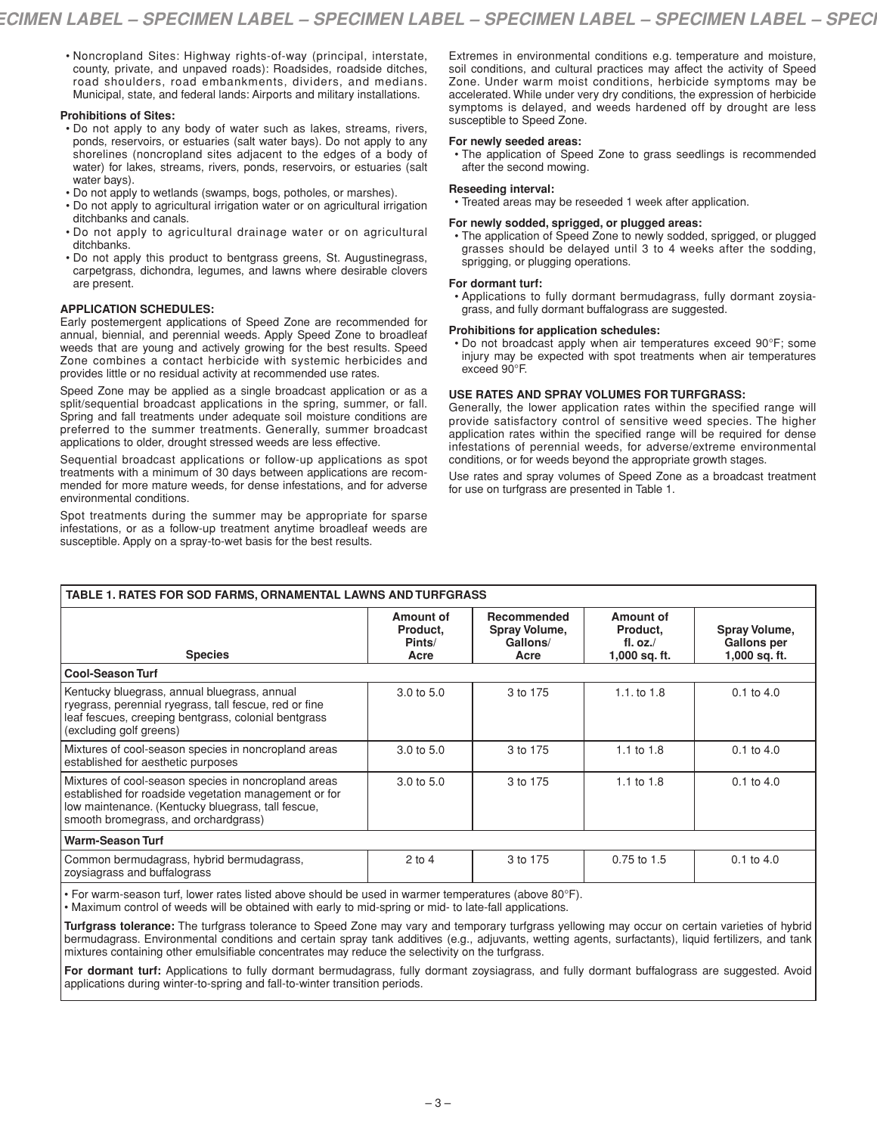• Noncropland Sites: Highway rights-of-way (principal, interstate, county, private, and unpaved roads): Roadsides, roadside ditches, road shoulders, road embankments, dividers, and medians. Municipal, state, and federal lands: Airports and military installations.

#### **Prohibitions of Sites:**

- Do not apply to any body of water such as lakes, streams, rivers, ponds, reservoirs, or estuaries (salt water bays). Do not apply to any shorelines (noncropland sites adjacent to the edges of a body of water) for lakes, streams, rivers, ponds, reservoirs, or estuaries (salt water bays).
- Do not apply to wetlands (swamps, bogs, potholes, or marshes).
- Do not apply to agricultural irrigation water or on agricultural irrigation
- ditchbanks and canals. • Do not apply to agricultural drainage water or on agricultural ditchbanks.
- Do not apply this product to bentgrass greens, St. Augustinegrass, carpetgrass, dichondra, legumes, and lawns where desirable clovers are present.

#### **APPLICATION SCHEDULES:**

Early postemergent applications of Speed Zone are recommended for annual, biennial, and perennial weeds. Apply Speed Zone to broadleaf weeds that are young and actively growing for the best results. Speed Zone combines a contact herbicide with systemic herbicides and provides little or no residual activity at recommended use rates.

Speed Zone may be applied as a single broadcast application or as a split/sequential broadcast applications in the spring, summer, or fall. Spring and fall treatments under adequate soil moisture conditions are preferred to the summer treatments. Generally, summer broadcast applications to older, drought stressed weeds are less effective.

Sequential broadcast applications or follow-up applications as spot treatments with a minimum of 30 days between applications are recommended for more mature weeds, for dense infestations, and for adverse environmental conditions.

Spot treatments during the summer may be appropriate for sparse infestations, or as a follow-up treatment anytime broadleaf weeds are susceptible. Apply on a spray-to-wet basis for the best results.

Extremes in environmental conditions e.g. temperature and moisture, soil conditions, and cultural practices may affect the activity of Speed Zone. Under warm moist conditions, herbicide symptoms may be accelerated. While under very dry conditions, the expression of herbicide symptoms is delayed, and weeds hardened off by drought are less susceptible to Speed Zone.

#### **For newly seeded areas:**

• The application of Speed Zone to grass seedlings is recommended after the second mowing.

#### **Reseeding interval:**

• Treated areas may be reseeded 1 week after application.

#### **For newly sodded, sprigged, or plugged areas:**

• The application of Speed Zone to newly sodded, sprigged, or plugged grasses should be delayed until 3 to 4 weeks after the sodding, sprigging, or plugging operations.

#### **For dormant turf:**

• Applications to fully dormant bermudagrass, fully dormant zoysiagrass, and fully dormant buffalograss are suggested.

#### **Prohibitions for application schedules:**

• Do not broadcast apply when air temperatures exceed 90°F; some injury may be expected with spot treatments when air temperatures exceed 90°F.

#### **USE RATES AND SPRAY VOLUMES FOR TURFGRASS:**

Generally, the lower application rates within the specified range will provide satisfactory control of sensitive weed species. The higher application rates within the specified range will be required for dense infestations of perennial weeds, for adverse/extreme environmental conditions, or for weeds beyond the appropriate growth stages.

Use rates and spray volumes of Speed Zone as a broadcast treatment for use on turfgrass are presented in Table 1.

| TABLE 1. RATES FOR SOD FARMS, ORNAMENTAL LAWNS AND TURFGRASS                                                                                                                                                |                                         |                                                  |                                                      |                                                      |  |
|-------------------------------------------------------------------------------------------------------------------------------------------------------------------------------------------------------------|-----------------------------------------|--------------------------------------------------|------------------------------------------------------|------------------------------------------------------|--|
| <b>Species</b>                                                                                                                                                                                              | Amount of<br>Product,<br>Pints/<br>Acre | Recommended<br>Spray Volume,<br>Gallons/<br>Acre | Amount of<br>Product,<br>fl. $oz$ .<br>1,000 sq. ft. | Spray Volume,<br><b>Gallons per</b><br>1,000 sq. ft. |  |
| <b>Cool-Season Turf</b>                                                                                                                                                                                     |                                         |                                                  |                                                      |                                                      |  |
| Kentucky bluegrass, annual bluegrass, annual<br>ryegrass, perennial ryegrass, tall fescue, red or fine<br>leaf fescues, creeping bentgrass, colonial bentgrass<br>(excluding golf greens)                   | $3.0 \text{ to } 5.0$                   | 3 to 175                                         | 1.1.101.8                                            | $0.1$ to $4.0$                                       |  |
| Mixtures of cool-season species in noncropland areas<br>established for aesthetic purposes                                                                                                                  | $3.0 \text{ to } 5.0$                   | 3 to 175                                         | 1.1 to $1.8$                                         | $0.1$ to $4.0$                                       |  |
| Mixtures of cool-season species in noncropland areas<br>established for roadside vegetation management or for<br>low maintenance. (Kentucky bluegrass, tall fescue,<br>smooth bromegrass, and orchardgrass) | $3.0 \text{ to } 5.0$                   | 3 to 175                                         | 1.1 to $1.8$                                         | $0.1$ to $4.0$                                       |  |
| <b>Warm-Season Turf</b>                                                                                                                                                                                     |                                         |                                                  |                                                      |                                                      |  |
| Common bermudagrass, hybrid bermudagrass,<br>zoysiagrass and buffalograss                                                                                                                                   | $2$ to 4                                | 3 to 175                                         | 0.75 to 1.5                                          | $0.1$ to $4.0$                                       |  |

• For warm-season turf, lower rates listed above should be used in warmer temperatures (above 80°F).

• Maximum control of weeds will be obtained with early to mid-spring or mid- to late-fall applications.

**Turfgrass tolerance:** The turfgrass tolerance to Speed Zone may vary and temporary turfgrass yellowing may occur on certain varieties of hybrid bermudagrass. Environmental conditions and certain spray tank additives (e.g., adjuvants, wetting agents, surfactants), liquid fertilizers, and tank mixtures containing other emulsifiable concentrates may reduce the selectivity on the turfgrass.

For dormant turf: Applications to fully dormant bermudagrass, fully dormant zoysiagrass, and fully dormant buffalograss are suggested. Avoid applications during winter-to-spring and fall-to-winter transition periods.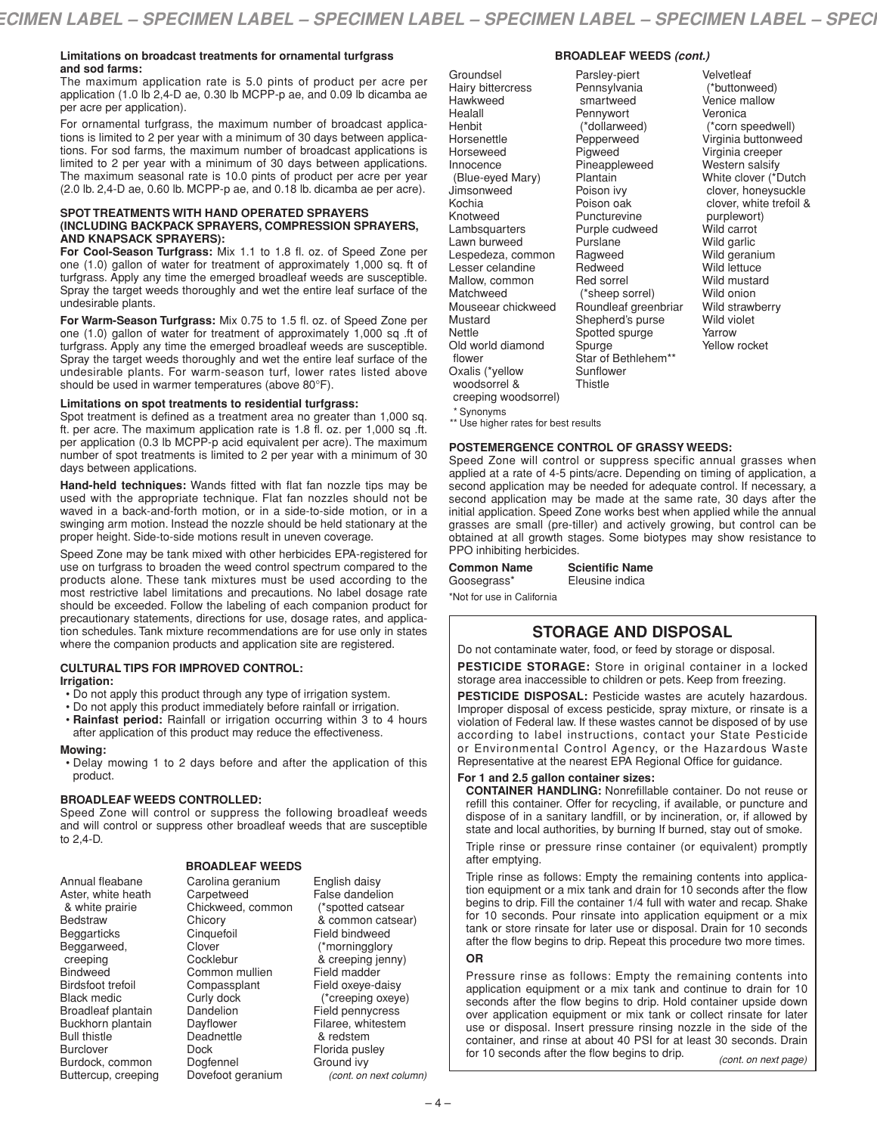#### **Limitations on broadcast treatments for ornamental turfgrass and sod farms:**

The maximum application rate is 5.0 pints of product per acre per application (1.0 lb 2,4-D ae, 0.30 lb MCPP-p ae, and 0.09 lb dicamba ae per acre per application).

For ornamental turfgrass, the maximum number of broadcast applications is limited to 2 per year with a minimum of 30 days between applications. For sod farms, the maximum number of broadcast applications is limited to 2 per year with a minimum of 30 days between applications. The maximum seasonal rate is 10.0 pints of product per acre per year (2.0 lb. 2,4-D ae, 0.60 lb. MCPP-p ae, and 0.18 lb. dicamba ae per acre).

#### **SPOT TREATMENTS WITH HAND OPERATED SPRAYERS (INCLUDING BACKPACK SPRAYERS, COMPRESSION SPRAYERS, AND KNAPSACK SPRAYERS):**

**For Cool-Season Turfgrass:** Mix 1.1 to 1.8 fl. oz. of Speed Zone per one (1.0) gallon of water for treatment of approximately 1,000 sq. ft of turfgrass. Apply any time the emerged broadleaf weeds are susceptible. Spray the target weeds thoroughly and wet the entire leaf surface of the undesirable plants.

**For Warm-Season Turfgrass:** Mix 0.75 to 1.5 fl. oz. of Speed Zone per one (1.0) gallon of water for treatment of approximately 1,000 sq .ft of turfgrass. Apply any time the emerged broadleaf weeds are susceptible. Spray the target weeds thoroughly and wet the entire leaf surface of the undesirable plants. For warm-season turf, lower rates listed above should be used in warmer temperatures (above 80°F).

#### **Limitations on spot treatments to residential turfgrass:**

Spot treatment is defined as a treatment area no greater than 1,000 sq. ft. per acre. The maximum application rate is 1.8 fl. oz. per 1,000 sq .ft. per application (0.3 lb MCPP-p acid equivalent per acre). The maximum number of spot treatments is limited to 2 per year with a minimum of 30 days between applications.

**Hand-held techniques:** Wands fitted with flat fan nozzle tips may be used with the appropriate technique. Flat fan nozzles should not be waved in a back-and-forth motion, or in a side-to-side motion, or in a swinging arm motion. Instead the nozzle should be held stationary at the proper height. Side-to-side motions result in uneven coverage.

Speed Zone may be tank mixed with other herbicides EPA-registered for use on turfgrass to broaden the weed control spectrum compared to the products alone. These tank mixtures must be used according to the most restrictive label limitations and precautions. No label dosage rate should be exceeded. Follow the labeling of each companion product for precautionary statements, directions for use, dosage rates, and application schedules. Tank mixture recommendations are for use only in states where the companion products and application site are registered.

## **CULTURAL TIPS FOR IMPROVED CONTROL:**

### **Irrigation:**

- Do not apply this product through any type of irrigation system.
- Do not apply this product immediately before rainfall or irrigation.
- **Rainfast period:** Rainfall or irrigation occurring within 3 to 4 hours after application of this product may reduce the effectiveness.

#### **Mowing:**

• Delay mowing 1 to 2 days before and after the application of this product.

#### **BROADLEAF WEEDS CONTROLLED:**

Speed Zone will control or suppress the following broadleaf weeds and will control or suppress other broadleaf weeds that are susceptible to 2,4-D.

#### **BROADLEAF WEEDS**

| Allilual licavalic        |
|---------------------------|
| Aster, white heath        |
| & white prairie           |
| Bedstraw                  |
| Beggarticks               |
| Beggarweed,               |
| creeping                  |
| <b>Bindweed</b>           |
| <b>Birdsfoot trefoil</b>  |
| <b>Black medic</b>        |
| <b>Broadleaf plantain</b> |
| Buckhorn plantain         |
| <b>Bull thistle</b>       |
| Burclover                 |
| Burdock, common           |
| Buttercup, creeping       |

Annual fleabane

Carolina geranium **Carpetweed** Chickweed, common **Chicory Cinquefoil** Clover Cocklebur Common mullien Compassplant Curly dock Dandelion Dayflower Deadnettle Dock Dogfennel Dovefoot geranium

English daisy False dandelion (\*spotted catsear & common catsear) Field bindweed (\*morningglory & creeping jenny) Field madder Field oxeye-daisy (\*creeping oxeye) Field pennycress Filaree, whitestem & redstem Florida pusley Ground ivy *(cont. on next column)*

#### **BROADLEAF WEEDS** *(cont.)*

Groundsel Hairy bittercress **Hawkweed** Healall Henbit **Horsenettle** Horseweed Innocence (Blue-eyed Mary) Jimsonweed Kochia Knotweed Lambsquarters Lawn burweed Lespedeza, common Lesser celandine Mallow, common Matchweed Mouseear chickweed Mustard Nettle Old world diamond flower Oxalis (\*yellow woodsorrel & creeping woodsorrel)

Parsley-piert **Pennsylvania** smartweed Pennywort (\*dollarweed) Pepperweed **Pigweed** Pineappleweed **Plantain** Poison ivy Poison oak Puncturevine Purple cudweed **Purslane** Ragweed Redweed Red sorrel (\*sheep sorrel) Roundleaf greenbriar Shepherd's purse Spotted spurge Spurge Star of Bethlehem\*\* Sunflower Thistle

Velvetleaf (\*buttonweed) Venice mallow Veronica (\*corn speedwell) Virginia buttonweed Virginia creeper Western salsify White clover (\*Dutch clover, honeysuckle clover, white trefoil & purplewort) Wild carrot Wild garlic Wild geranium Wild lettuce Wild mustard Wild onion Wild strawberry Wild violet Yarrow Yellow rocket

\* Synonyms

\*\* Use higher rates for best results

#### **POSTEMERGENCE CONTROL OF GRASSY WEEDS:**

Speed Zone will control or suppress specific annual grasses when applied at a rate of 4-5 pints/acre. Depending on timing of application, a second application may be needed for adequate control. If necessary, a second application may be made at the same rate, 30 days after the initial application. Speed Zone works best when applied while the annual grasses are small (pre-tiller) and actively growing, but control can be obtained at all growth stages. Some biotypes may show resistance to PPO inhibiting herbicides.

**Common Name Scientific Name** Goosegrass\* Eleusine indica \*Not for use in California

## **STORAGE AND DISPOSAL**

Do not contaminate water, food, or feed by storage or disposal.

**PESTICIDE STORAGE:** Store in original container in a locked storage area inaccessible to children or pets. Keep from freezing.

**PESTICIDE DISPOSAL:** Pesticide wastes are acutely hazardous. Improper disposal of excess pesticide, spray mixture, or rinsate is a violation of Federal law. If these wastes cannot be disposed of by use according to label instructions, contact your State Pesticide or Environmental Control Agency, or the Hazardous Waste Representative at the nearest EPA Regional Office for guidance.

## **For 1 and 2.5 gallon container sizes:**

**CONTAINER HANDLING:** Nonrefillable container. Do not reuse or refill this container. Offer for recycling, if available, or puncture and dispose of in a sanitary landfill, or by incineration, or, if allowed by state and local authorities, by burning If burned, stay out of smoke.

Triple rinse or pressure rinse container (or equivalent) promptly after emptying.

Triple rinse as follows: Empty the remaining contents into application equipment or a mix tank and drain for 10 seconds after the flow begins to drip. Fill the container 1/4 full with water and recap. Shake for 10 seconds. Pour rinsate into application equipment or a mix tank or store rinsate for later use or disposal. Drain for 10 seconds after the flow begins to drip. Repeat this procedure two more times.

## **OR**

Pressure rinse as follows: Empty the remaining contents into application equipment or a mix tank and continue to drain for 10 seconds after the flow begins to drip. Hold container upside down over application equipment or mix tank or collect rinsate for later use or disposal. Insert pressure rinsing nozzle in the side of the container, and rinse at about 40 PSI for at least 30 seconds. Drain for <sup>10</sup> seconds after the flow begins to drip. *(cont. on next page)*